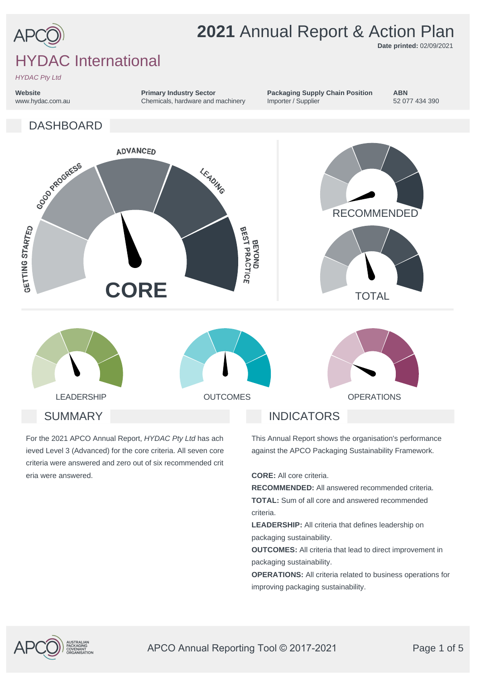

**Date printed:** 02/09/2021

# HYDAC International

*HYDAC Pty Ltd*

**Website** www.hydac.com.au **Primary Industry Sector** Chemicals, hardware and machinery **Packaging Supply Chain Position** Importer / Supplier

**ABN** 52 077 434 390

DASHBOARD



For the 2021 APCO Annual Report, *HYDAC Pty Ltd* has ach ieved Level 3 (Advanced) for the core criteria. All seven core criteria were answered and zero out of six recommended crit eria were answered.

This Annual Report shows the organisation's performance against the APCO Packaging Sustainability Framework.

**CORE:** All core criteria.

**RECOMMENDED:** All answered recommended criteria. **TOTAL:** Sum of all core and answered recommended criteria.

**LEADERSHIP:** All criteria that defines leadership on packaging sustainability.

**OUTCOMES:** All criteria that lead to direct improvement in packaging sustainability.

**OPERATIONS:** All criteria related to business operations for improving packaging sustainability.

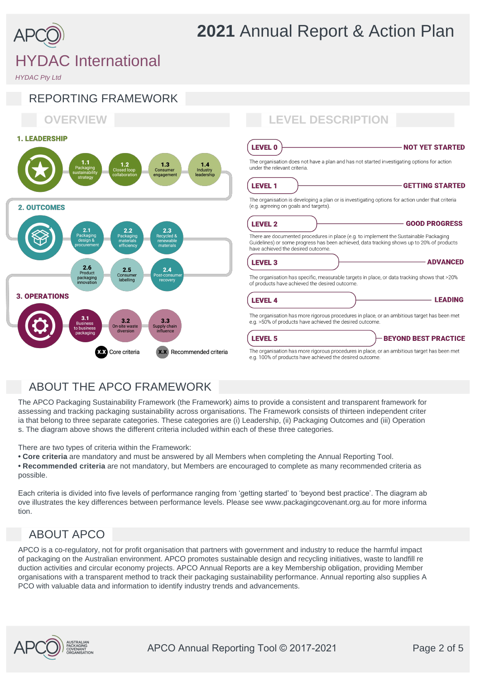

# *HYDAC Pty Ltd*



### ABOUT THE APCO FRAMEWORK

The APCO Packaging Sustainability Framework (the Framework) aims to provide a consistent and transparent framework for assessing and tracking packaging sustainability across organisations. The Framework consists of thirteen independent criter ia that belong to three separate categories. These categories are (i) Leadership, (ii) Packaging Outcomes and (iii) Operation s. The diagram above shows the different criteria included within each of these three categories.

There are two types of criteria within the Framework:

- **Core criteria** are mandatory and must be answered by all Members when completing the Annual Reporting Tool.
- **Recommended criteria** are not mandatory, but Members are encouraged to complete as many recommended criteria as possible.

Each criteria is divided into five levels of performance ranging from 'getting started' to 'beyond best practice'. The diagram ab ove illustrates the key differences between performance levels. Please see www.packagingcovenant.org.au for more informa tion.

### ABOUT APCO

APCO is a co-regulatory, not for profit organisation that partners with government and industry to reduce the harmful impact of packaging on the Australian environment. APCO promotes sustainable design and recycling initiatives, waste to landfill re duction activities and circular economy projects. APCO Annual Reports are a key Membership obligation, providing Member organisations with a transparent method to track their packaging sustainability performance. Annual reporting also supplies A PCO with valuable data and information to identify industry trends and advancements.

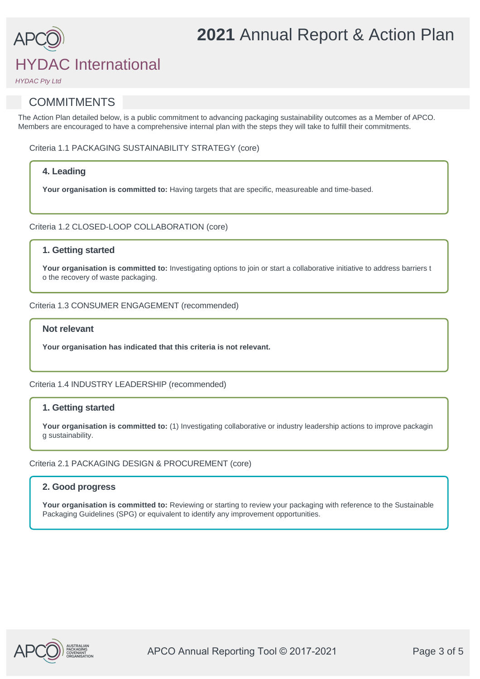## HYDAC International

*HYDAC Pty Ltd*

### **COMMITMENTS**

The Action Plan detailed below, is a public commitment to advancing packaging sustainability outcomes as a Member of APCO. Members are encouraged to have a comprehensive internal plan with the steps they will take to fulfill their commitments.

Criteria 1.1 PACKAGING SUSTAINABILITY STRATEGY (core)

#### **4. Leading**

**Your organisation is committed to:** Having targets that are specific, measureable and time-based.

Criteria 1.2 CLOSED-LOOP COLLABORATION (core)

#### **1. Getting started**

Your organisation is committed to: Investigating options to join or start a collaborative initiative to address barriers t o the recovery of waste packaging.

Criteria 1.3 CONSUMER ENGAGEMENT (recommended)

#### **Not relevant**

**Your organisation has indicated that this criteria is not relevant.**

Criteria 1.4 INDUSTRY LEADERSHIP (recommended)

#### **1. Getting started**

Your organisation is committed to: (1) Investigating collaborative or industry leadership actions to improve packagin g sustainability.

#### Criteria 2.1 PACKAGING DESIGN & PROCUREMENT (core)

#### **2. Good progress**

Your organisation is committed to: Reviewing or starting to review your packaging with reference to the Sustainable Packaging Guidelines (SPG) or equivalent to identify any improvement opportunities.

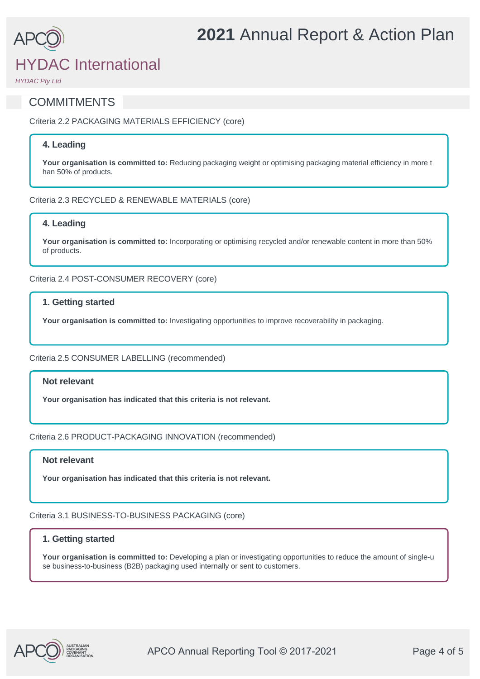## HYDAC International

*HYDAC Pty Ltd*

### **COMMITMENTS**

Criteria 2.2 PACKAGING MATERIALS EFFICIENCY (core)

#### **4. Leading**

**Your organisation is committed to:** Reducing packaging weight or optimising packaging material efficiency in more t han 50% of products.

#### Criteria 2.3 RECYCLED & RENEWABLE MATERIALS (core)

#### **4. Leading**

**Your organisation is committed to:** Incorporating or optimising recycled and/or renewable content in more than 50% of products.

Criteria 2.4 POST-CONSUMER RECOVERY (core)

#### **1. Getting started**

**Your organisation is committed to:** Investigating opportunities to improve recoverability in packaging.

#### Criteria 2.5 CONSUMER LABELLING (recommended)

#### **Not relevant**

**Your organisation has indicated that this criteria is not relevant.**

Criteria 2.6 PRODUCT-PACKAGING INNOVATION (recommended)

#### **Not relevant**

**Your organisation has indicated that this criteria is not relevant.**

Criteria 3.1 BUSINESS-TO-BUSINESS PACKAGING (core)

#### **1. Getting started**

**Your organisation is committed to:** Developing a plan or investigating opportunities to reduce the amount of single-u se business-to-business (B2B) packaging used internally or sent to customers.